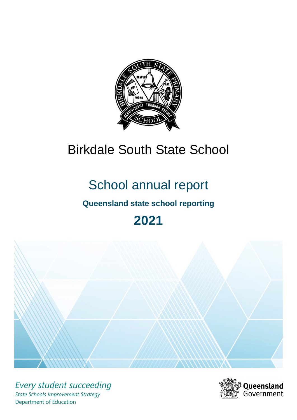

# Birkdale South State School

# School annual report

# **Queensland state school reporting**

# **2021**



*Every student succeeding State Schools Improvement Strategy* Department of Education

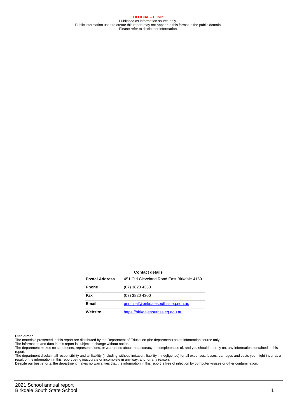**OFFICIAL – Public** Published as information source only. Public information used to create this report may not appear in this format in the public domain Please refer to disclaimer information.

#### **Contact details**

| <b>Postal Address</b> | 451 Old Cleveland Road Fast Birkdale 4159 |
|-----------------------|-------------------------------------------|
| <b>Phone</b>          | (07) 3820 4333                            |
| Fax                   | (07) 3820 4300                            |
| Email                 | principal@birkdalesouthss.eq.edu.au       |
| Website               | https://birkdalesouthss.eg.edu.au         |

#### **Disclaimer**

The materials presented in this report are distributed by the Department of Education (the department) as an information source only.

The information and data in this report is subject to change without notice.<br>The department makes no statements, representations, or warranties about the accuracy or completeness of, and you should not rely on, any informa report.

The department disclaim all responsibility and all liability (including without limitation, liability in negligence) for all expenses, losses, damages and costs you might incur as a result of the information in this report being inaccurate or incomplete in any way, and for any reason.

Despite our best efforts, the department makes no warranties that the information in this report is free of infection by computer viruses or other contamination.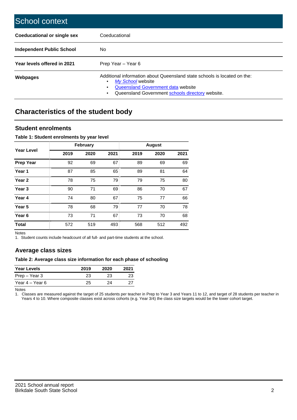| School context                   |                                                                                                                                                                                              |
|----------------------------------|----------------------------------------------------------------------------------------------------------------------------------------------------------------------------------------------|
| Coeducational or single sex      | Coeducational                                                                                                                                                                                |
| <b>Independent Public School</b> | No.                                                                                                                                                                                          |
| Year levels offered in 2021      | Prep Year - Year 6                                                                                                                                                                           |
| Webpages                         | Additional information about Queensland state schools is located on the:<br>My School website<br>Queensland Government data website<br>Queensland Government schools directory website.<br>٠ |

# **Characteristics of the student body**

### **Student enrolments**

#### **Table 1: Student enrolments by year level**

|                   |      | <b>February</b> |      |      | <b>August</b> |      |
|-------------------|------|-----------------|------|------|---------------|------|
| <b>Year Level</b> | 2019 | 2020            | 2021 | 2019 | 2020          | 2021 |
| <b>Prep Year</b>  | 92   | 69              | 67   | 89   | 69            | 69   |
| Year 1            | 87   | 85              | 65   | 89   | 81            | 64   |
| Year 2            | 78   | 75              | 79   | 79   | 75            | 80   |
| Year <sub>3</sub> | 90   | 71              | 69   | 86   | 70            | 67   |
| Year 4            | 74   | 80              | 67   | 75   | 77            | 66   |
| Year <sub>5</sub> | 78   | 68              | 79   | 77   | 70            | 78   |
| Year <sub>6</sub> | 73   | 71              | 67   | 73   | 70            | 68   |
| <b>Total</b>      | 572  | 519             | 493  | 568  | 512           | 492  |

Notes

1. Student counts include headcount of all full- and part-time students at the school.

## **Average class sizes**

#### **Table 2: Average class size information for each phase of schooling**

| <b>Year Levels</b> | 2019 | 2020 | 2021 |
|--------------------|------|------|------|
| Prep – Year 3      | 23   | 23   | 23   |
| Year 4 – Year 6    | 25   | 24   |      |

Notes

1. Classes are measured against the target of 25 students per teacher in Prep to Year 3 and Years 11 to 12, and target of 28 students per teacher in Years 4 to 10. Where composite classes exist across cohorts (e.g. Year 3/4) the class size targets would be the lower cohort target.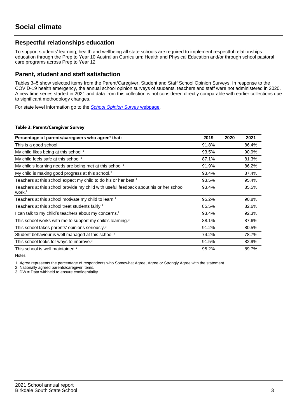## **Respectful relationships education**

To support students' learning, health and wellbeing all state schools are required to implement respectful relationships education through the Prep to Year 10 Australian Curriculum: Health and Physical Education and/or through school pastoral care programs across Prep to Year 12.

### **Parent, student and staff satisfaction**

Tables 3–5 show selected items from the Parent/Caregiver, Student and Staff School Opinion Surveys. In response to the COVID-19 health emergency, the annual school opinion surveys of students, teachers and staff were not administered in 2020. A new time series started in 2021 and data from this collection is not considered directly comparable with earlier collections due to significant methodology changes.

For state level information go to the **[School Opinion Survey](https://qed.qld.gov.au/publications/reports/statistics/schooling/schools/schoolopinionsurvey) webpage**.

#### **Table 3: Parent/Caregiver Survey**

| Percentage of parents/caregivers who agree <sup>1</sup> that:                                               | 2019  | 2020 | 2021  |
|-------------------------------------------------------------------------------------------------------------|-------|------|-------|
| This is a good school.                                                                                      | 91.8% |      | 86.4% |
| My child likes being at this school. <sup>2</sup>                                                           | 93.5% |      | 90.9% |
| My child feels safe at this school. <sup>2</sup>                                                            | 87.1% |      | 81.3% |
| My child's learning needs are being met at this school. <sup>2</sup>                                        | 91.9% |      | 86.2% |
| My child is making good progress at this school. <sup>2</sup>                                               | 93.4% |      | 87.4% |
| Teachers at this school expect my child to do his or her best. <sup>2</sup>                                 | 93.5% |      | 95.4% |
| Teachers at this school provide my child with useful feedback about his or her school<br>work. <sup>2</sup> | 93.4% |      | 85.5% |
| Teachers at this school motivate my child to learn. <sup>2</sup>                                            | 95.2% |      | 90.8% |
| Teachers at this school treat students fairly. <sup>2</sup>                                                 | 85.5% |      | 82.6% |
| I can talk to my child's teachers about my concerns. <sup>2</sup>                                           | 93.4% |      | 92.3% |
| This school works with me to support my child's learning. <sup>2</sup>                                      | 88.1% |      | 87.6% |
| This school takes parents' opinions seriously. <sup>2</sup>                                                 | 91.2% |      | 80.5% |
| Student behaviour is well managed at this school. <sup>2</sup>                                              | 74.2% |      | 78.7% |
| This school looks for ways to improve. <sup>2</sup>                                                         | 91.5% |      | 82.9% |
| This school is well maintained. <sup>2</sup>                                                                | 95.2% |      | 89.7% |

Notes

1. Agree represents the percentage of respondents who Somewhat Agree, Agree or Strongly Agree with the statement.

2. Nationally agreed parents/caregiver items.

3. DW = Data withheld to ensure confidentiality.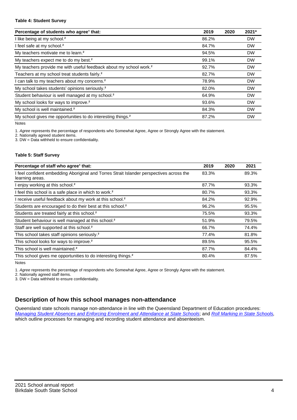#### **Table 4: Student Survey**

| Percentage of students who agree <sup>1</sup> that:                            | 2019  | 2020 | 2021*     |
|--------------------------------------------------------------------------------|-------|------|-----------|
| I like being at my school. <sup>2</sup>                                        | 86.2% |      | <b>DW</b> |
| I feel safe at my school. <sup>2</sup>                                         | 84.7% |      | <b>DW</b> |
| My teachers motivate me to learn. <sup>2</sup>                                 | 94.5% |      | <b>DW</b> |
| My teachers expect me to do my best. <sup>2</sup>                              | 99.1% |      | <b>DW</b> |
| My teachers provide me with useful feedback about my school work. <sup>2</sup> | 92.7% |      | <b>DW</b> |
| Teachers at my school treat students fairly. <sup>2</sup>                      | 82.7% |      | <b>DW</b> |
| I can talk to my teachers about my concerns. <sup>2</sup>                      | 78.9% |      | <b>DW</b> |
| My school takes students' opinions seriously. <sup>2</sup>                     | 82.0% |      | <b>DW</b> |
| Student behaviour is well managed at my school. <sup>2</sup>                   | 64.9% |      | <b>DW</b> |
| My school looks for ways to improve. <sup>2</sup>                              | 93.6% |      | <b>DW</b> |
| My school is well maintained. <sup>2</sup>                                     | 84.3% |      | <b>DW</b> |
| My school gives me opportunities to do interesting things. <sup>2</sup>        | 87.2% |      | <b>DW</b> |

Notes

1. Agree represents the percentage of respondents who Somewhat Agree, Agree or Strongly Agree with the statement.

2. Nationally agreed student items.

3. DW = Data withheld to ensure confidentiality.

#### **Table 5: Staff Survey**

| Percentage of staff who agree <sup>1</sup> that:                                                            | 2019  | 2020 | 2021  |
|-------------------------------------------------------------------------------------------------------------|-------|------|-------|
| I feel confident embedding Aboriginal and Torres Strait Islander perspectives across the<br>learning areas. | 83.3% |      | 89.3% |
| I enjoy working at this school. <sup>2</sup>                                                                | 87.7% |      | 93.3% |
| I feel this school is a safe place in which to work. <sup>2</sup>                                           | 80.7% |      | 93.3% |
| I receive useful feedback about my work at this school. <sup>2</sup>                                        | 84.2% |      | 92.9% |
| Students are encouraged to do their best at this school. <sup>2</sup>                                       | 96.2% |      | 95.5% |
| Students are treated fairly at this school. <sup>2</sup>                                                    | 75.5% |      | 93.3% |
| Student behaviour is well managed at this school. <sup>2</sup>                                              | 51.9% |      | 79.5% |
| Staff are well supported at this school. <sup>2</sup>                                                       | 66.7% |      | 74.4% |
| This school takes staff opinions seriously. <sup>2</sup>                                                    | 77.4% |      | 81.8% |
| This school looks for ways to improve. <sup>2</sup>                                                         | 89.5% |      | 95.5% |
| This school is well maintained. <sup>2</sup>                                                                | 87.7% |      | 84.4% |
| This school gives me opportunities to do interesting things. <sup>2</sup>                                   | 80.4% |      | 87.5% |

Notes

1. Agree represents the percentage of respondents who Somewhat Agree, Agree or Strongly Agree with the statement.

2. Nationally agreed staff items.

3. DW = Data withheld to ensure confidentiality.

## **Description of how this school manages non-attendance**

Queensland state schools manage non-attendance in line with the Queensland Department of Education procedures: [Managing Student Absences and Enforcing Enrolment and Attendance at State Schools](https://ppr.qed.qld.gov.au/pp/managing-student-absences-and-enforcing-enrolment-and-attendance-at-state-schools-procedure); and [Roll Marking in State Schools,](https://ppr.qed.qld.gov.au/pp/roll-marking-in-state-schools-procedure) which outline processes for managing and recording student attendance and absenteeism.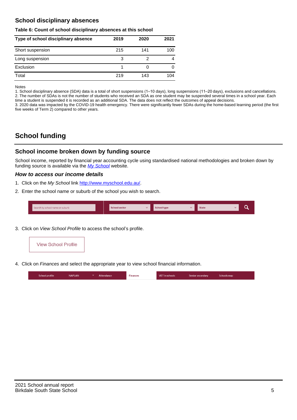## **School disciplinary absences**

#### **Table 6: Count of school disciplinary absences at this school**

| Type of school disciplinary absence | 2019 | 2020 | 2021 |
|-------------------------------------|------|------|------|
| Short suspension                    | 215  | 141  | 100  |
| Long suspension                     | 3    |      | 4    |
| Exclusion                           |      | O    |      |
| Total                               | 219  | 143  | 104  |

Notes

1. School disciplinary absence (SDA) data is a total of short suspensions (1–10 days), long suspensions (11–20 days), exclusions and cancellations. 2. The number of SDAs is not the number of students who received an SDA as one student may be suspended several times in a school year. Each time a student is suspended it is recorded as an additional SDA. The data does not reflect the outcomes of appeal decisions.

3. 2020 data was impacted by the COVID-19 health emergency. There were significantly fewer SDAs during the home-based learning period (the first five weeks of Term 2) compared to other years.

# **School funding**

## **School income broken down by funding source**

School income, reported by financial year accounting cycle using standardised national methodologies and broken down by funding source is available via the  $My$  School website.

#### **How to access our income details**

- 1. Click on the My School link <http://www.myschool.edu.au/>.
- 2. Enter the school name or suburb of the school you wish to search.

|  | Search by school name or suburb |  | <b>School sector</b> |  | $\sim$ and $\sim$ represents the set of $\sim$ | <b>State</b> |  |  |  |
|--|---------------------------------|--|----------------------|--|------------------------------------------------|--------------|--|--|--|
|--|---------------------------------|--|----------------------|--|------------------------------------------------|--------------|--|--|--|

3. Click on View School Profile to access the school's profile.



4. Click on Finances and select the appropriate year to view school financial information.

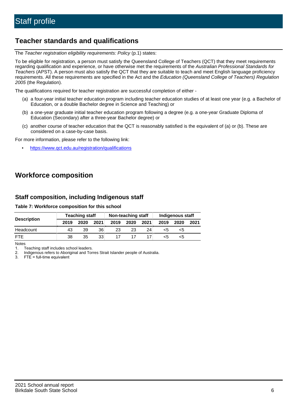## **Teacher standards and qualifications**

The Teacher registration eligibility requirements: Policy (p.1) states:

To be eligible for registration, a person must satisfy the Queensland College of Teachers (QCT) that they meet requirements regarding qualification and experience, or have otherwise met the requirements of the Australian Professional Standards for Teachers (APST). A person must also satisfy the QCT that they are suitable to teach and meet English language proficiency requirements. All these requirements are specified in the Act and the Education (Queensland College of Teachers) Regulation 2005 (the Regulation).

The qualifications required for teacher registration are successful completion of either -

- (a) a four-year initial teacher education program including teacher education studies of at least one year (e.g. a Bachelor of Education, or a double Bachelor degree in Science and Teaching) or
- (b) a one-year graduate initial teacher education program following a degree (e.g. a one-year Graduate Diploma of Education (Secondary) after a three-year Bachelor degree) or
- (c) another course of teacher education that the QCT is reasonably satisfied is the equivalent of (a) or (b). These are considered on a case-by-case basis.

For more information, please refer to the following link:

• <https://www.qct.edu.au/registration/qualifications>

# **Workforce composition**

## **Staff composition, including Indigenous staff**

#### **Table 7: Workforce composition for this school**

|                    |      |      | <b>Teaching staff</b><br>Non-teaching staff |      |      |      | <b>Indigenous staff</b> |      |      |
|--------------------|------|------|---------------------------------------------|------|------|------|-------------------------|------|------|
| <b>Description</b> | 2019 | 2020 | 2021                                        | 2019 | 2020 | 2021 | 2019                    | 2020 | 2021 |
| Headcount          | 43   | 39   | 36                                          | 23   | 23   | 24   | <5                      | <5   |      |
| <b>FTF</b>         | 38   | 35   | 33                                          |      |      |      | <5                      | <5   |      |

Notes

1. Teaching staff includes school leaders.

2. Indigenous refers to Aboriginal and Torres Strait Islander people of Australia.

3. FTE = full-time equivalent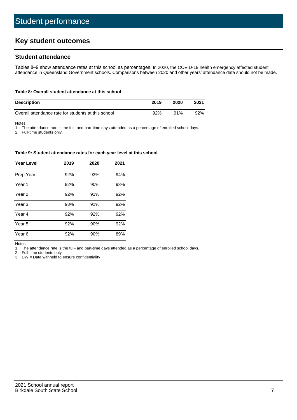# **Key student outcomes**

## **Student attendance**

Tables 8–9 show attendance rates at this school as percentages. In 2020, the COVID-19 health emergency affected student attendance in Queensland Government schools. Comparisons between 2020 and other years' attendance data should not be made.

#### **Table 8: Overall student attendance at this school**

| <b>Description</b>                                  | 2019 | 2020 | 2021 |
|-----------------------------------------------------|------|------|------|
| Overall attendance rate for students at this school | 92%  | 91%  | 92%  |

Notes

1. The attendance rate is the full- and part-time days attended as a percentage of enrolled school days.

2. Full-time students only.

#### **Table 9: Student attendance rates for each year level at this school**

| <b>Year Level</b> | 2019 | 2020 | 2021 |
|-------------------|------|------|------|
| Prep Year         | 92%  | 93%  | 94%  |
| Year 1            | 92%  | 90%  | 93%  |
| Year 2            | 92%  | 91%  | 92%  |
| Year <sub>3</sub> | 93%  | 91%  | 92%  |
| Year 4            | 92%  | 92%  | 92%  |
| Year 5            | 92%  | 90%  | 92%  |
| Year <sub>6</sub> | 92%  | 90%  | 89%  |

Notes

1. The attendance rate is the full- and part-time days attended as a percentage of enrolled school days.

2. Full-time students only.

3. DW = Data withheld to ensure confidentiality